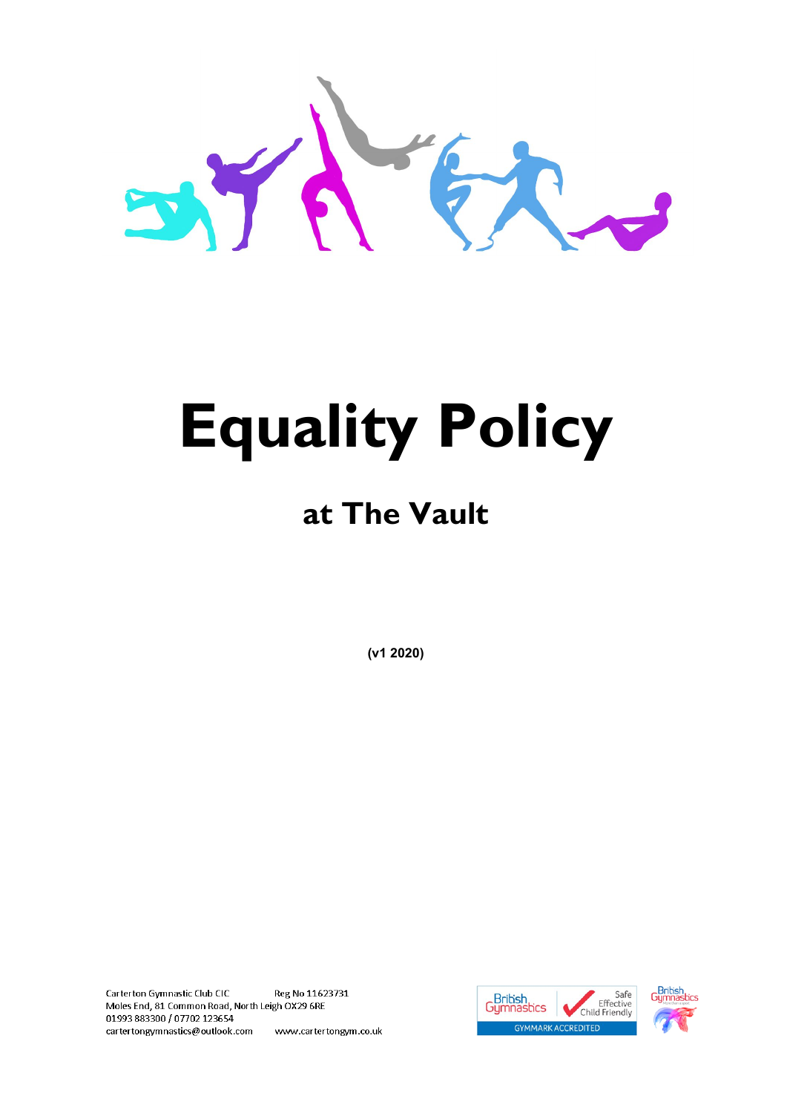

# **Equality Policy**

### **at The Vault**

**(v1 2020)**

Reg No 11623731 Carterton Gymnastic Club CIC Moles End, 81 Common Road, North Leigh OX29 6RE 01993883300 / 07702 123654 cartertongymnastics@outlook.com www.cartertongym.co.uk



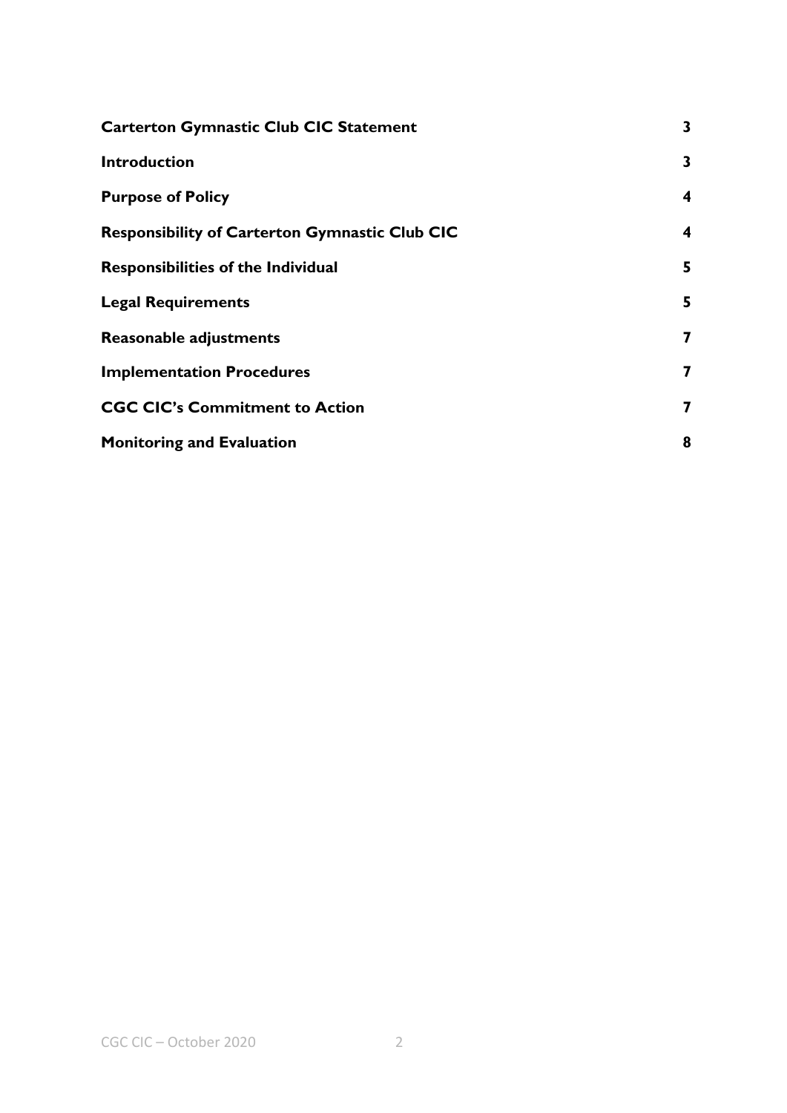| <b>Carterton Gymnastic Club CIC Statement</b>         | 3                       |
|-------------------------------------------------------|-------------------------|
| <b>Introduction</b>                                   | 3                       |
| <b>Purpose of Policy</b>                              | 4                       |
| <b>Responsibility of Carterton Gymnastic Club CIC</b> | $\overline{\mathbf{4}}$ |
| <b>Responsibilities of the Individual</b>             | 5                       |
| <b>Legal Requirements</b>                             | 5                       |
| <b>Reasonable adjustments</b>                         | 7                       |
| <b>Implementation Procedures</b>                      | 7                       |
| <b>CGC CIC's Commitment to Action</b>                 | 7                       |
| <b>Monitoring and Evaluation</b>                      | 8                       |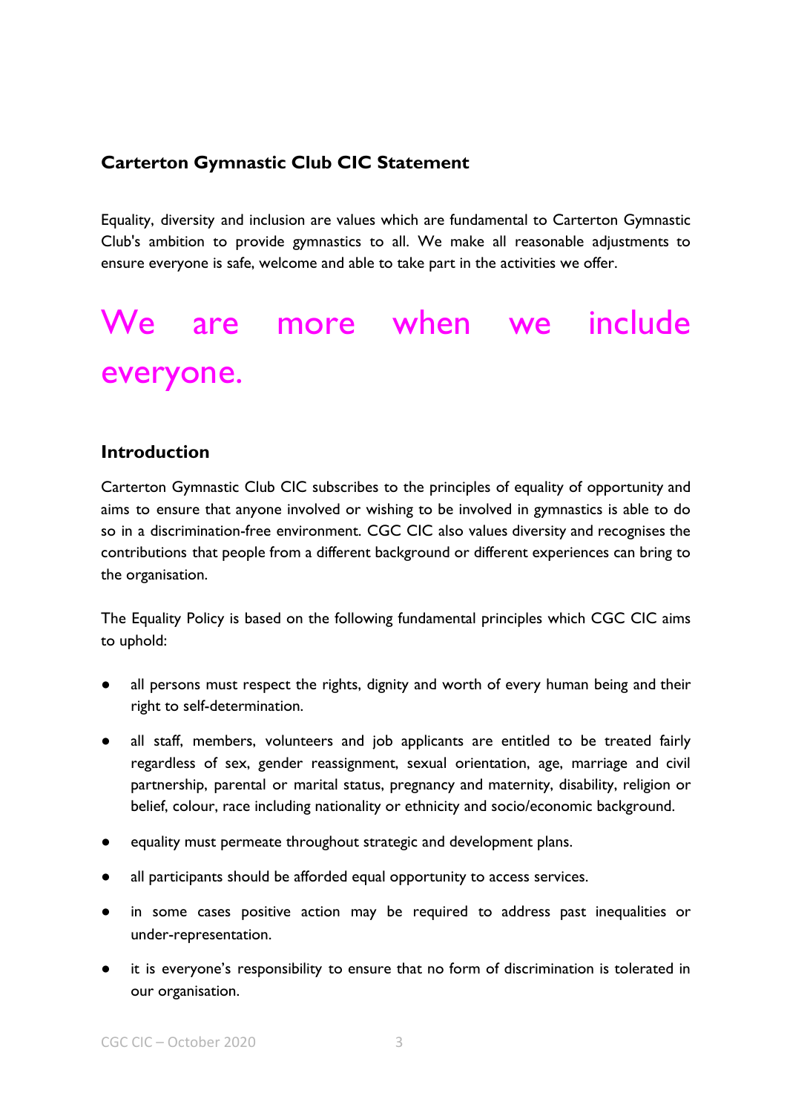#### <span id="page-2-0"></span>**Carterton Gymnastic Club CIC Statement**

Equality, diversity and inclusion are values which are fundamental to Carterton Gymnastic Club's ambition to provide gymnastics to all. We make all reasonable adjustments to ensure everyone is safe, welcome and able to take part in the activities we offer.

## We are more when we include everyone.

#### <span id="page-2-1"></span>**Introduction**

Carterton Gymnastic Club CIC subscribes to the principles of equality of opportunity and aims to ensure that anyone involved or wishing to be involved in gymnastics is able to do so in a discrimination-free environment. CGC CIC also values diversity and recognises the contributions that people from a different background or different experiences can bring to the organisation.

The Equality Policy is based on the following fundamental principles which CGC CIC aims to uphold:

- all persons must respect the rights, dignity and worth of every human being and their right to self-determination.
- all staff, members, volunteers and job applicants are entitled to be treated fairly regardless of sex, gender reassignment, sexual orientation, age, marriage and civil partnership, parental or marital status, pregnancy and maternity, disability, religion or belief, colour, race including nationality or ethnicity and socio/economic background.
- equality must permeate throughout strategic and development plans.
- all participants should be afforded equal opportunity to access services.
- in some cases positive action may be required to address past inequalities or under-representation.
- it is everyone's responsibility to ensure that no form of discrimination is tolerated in our organisation.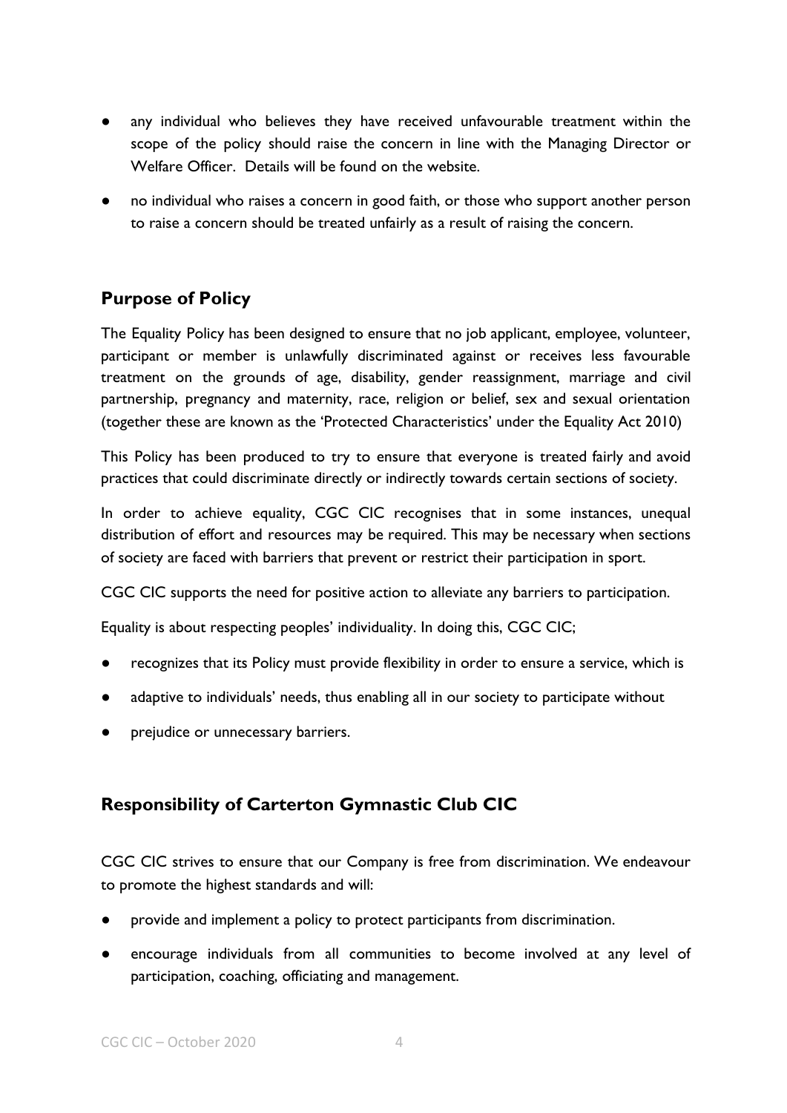- any individual who believes they have received unfavourable treatment within the scope of the policy should raise the concern in line with the Managing Director or Welfare Officer. Details will be found on the website.
- no individual who raises a concern in good faith, or those who support another person to raise a concern should be treated unfairly as a result of raising the concern.

#### <span id="page-3-0"></span>**Purpose of Policy**

The Equality Policy has been designed to ensure that no job applicant, employee, volunteer, participant or member is unlawfully discriminated against or receives less favourable treatment on the grounds of age, disability, gender reassignment, marriage and civil partnership, pregnancy and maternity, race, religion or belief, sex and sexual orientation (together these are known as the 'Protected Characteristics' under the Equality Act 2010)

This Policy has been produced to try to ensure that everyone is treated fairly and avoid practices that could discriminate directly or indirectly towards certain sections of society.

In order to achieve equality, CGC CIC recognises that in some instances, unequal distribution of effort and resources may be required. This may be necessary when sections of society are faced with barriers that prevent or restrict their participation in sport.

CGC CIC supports the need for positive action to alleviate any barriers to participation.

Equality is about respecting peoples' individuality. In doing this, CGC CIC;

- recognizes that its Policy must provide flexibility in order to ensure a service, which is
- adaptive to individuals' needs, thus enabling all in our society to participate without
- prejudice or unnecessary barriers.

#### <span id="page-3-1"></span>**Responsibility of Carterton Gymnastic Club CIC**

CGC CIC strives to ensure that our Company is free from discrimination. We endeavour to promote the highest standards and will:

- provide and implement a policy to protect participants from discrimination.
- encourage individuals from all communities to become involved at any level of participation, coaching, officiating and management.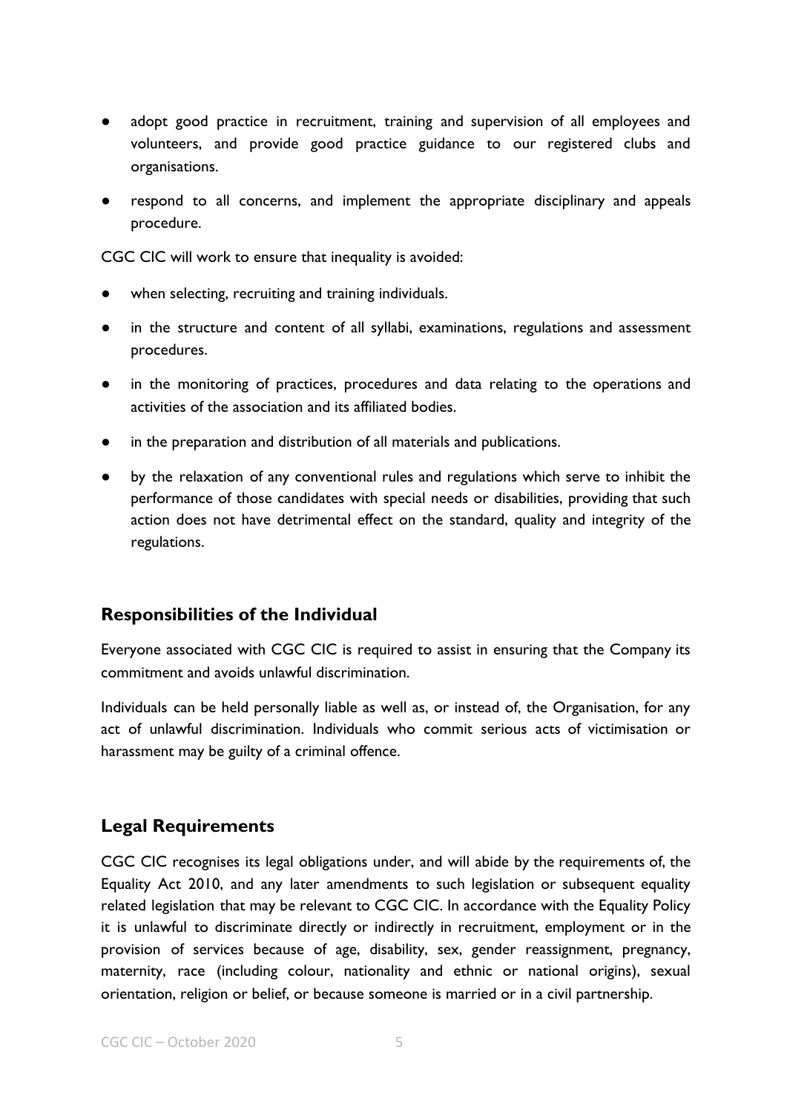- adopt good practice in recruitment, training and supervision of all employees and volunteers, and provide good practice guidance to our registered clubs and organisations.
- respond to all concerns, and implement the appropriate disciplinary and appeals procedure.

CGC CIC will work to ensure that inequality is avoided:

- when selecting, recruiting and training individuals.
- in the structure and content of all syllabi, examinations, regulations and assessment procedures.
- in the monitoring of practices, procedures and data relating to the operations and activities of the association and its affiliated bodies.
- in the preparation and distribution of all materials and publications.
- by the relaxation of any conventional rules and regulations which serve to inhibit the performance of those candidates with special needs or disabilities, providing that such action does not have detrimental effect on the standard, quality and integrity of the regulations.

#### <span id="page-4-0"></span>**Responsibilities of the Individual**

Everyone associated with CGC CIC is required to assist in ensuring that the Company its commitment and avoids unlawful discrimination.

Individuals can be held personally liable as well as, or instead of, the Organisation, for any act of unlawful discrimination. Individuals who commit serious acts of victimisation or harassment may be guilty of a criminal offence.

#### <span id="page-4-1"></span>**Legal Requirements**

CGC CIC recognises its legal obligations under, and will abide by the requirements of, the Equality Act 2010, and any later amendments to such legislation or subsequent equality related legislation that may be relevant to CGC CIC. In accordance with the Equality Policy it is unlawful to discriminate directly or indirectly in recruitment, employment or in the provision of services because of age, disability, sex, gender reassignment, pregnancy, maternity, race (including colour, nationality and ethnic or national origins), sexual orientation, religion or belief, or because someone is married or in a civil partnership.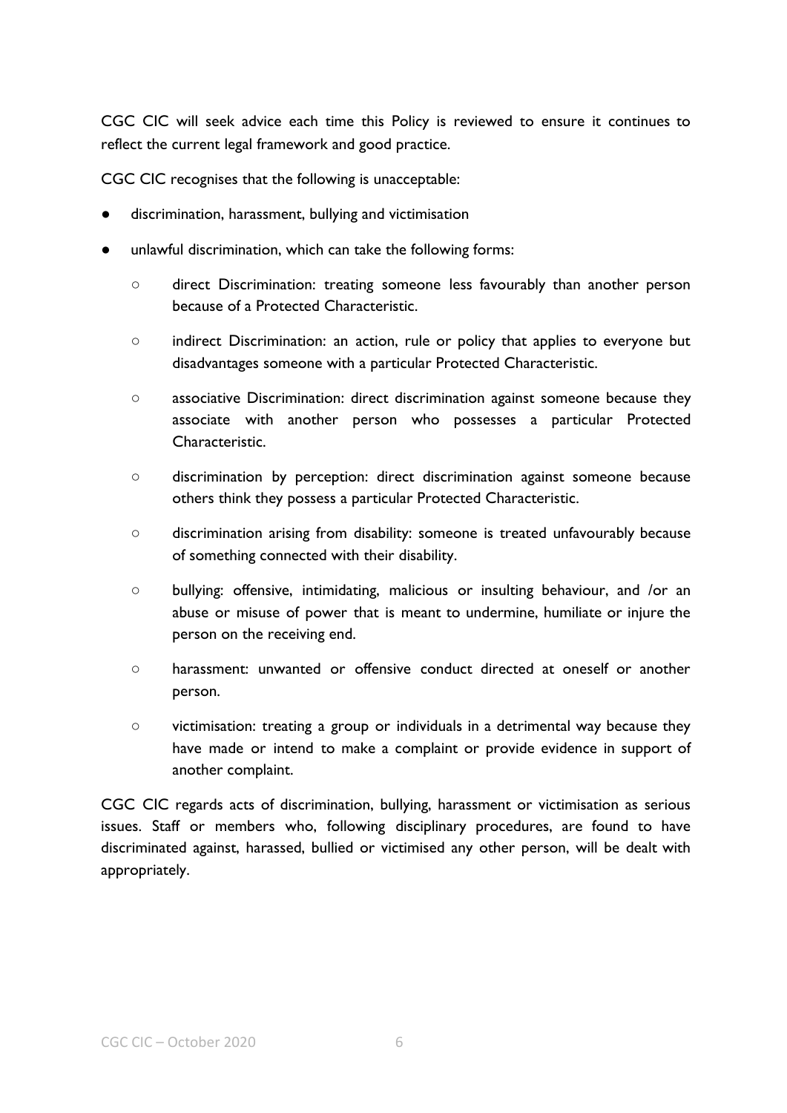CGC CIC will seek advice each time this Policy is reviewed to ensure it continues to reflect the current legal framework and good practice.

CGC CIC recognises that the following is unacceptable:

- discrimination, harassment, bullying and victimisation
- unlawful discrimination, which can take the following forms:
	- direct Discrimination: treating someone less favourably than another person because of a Protected Characteristic.
	- indirect Discrimination: an action, rule or policy that applies to everyone but disadvantages someone with a particular Protected Characteristic.
	- associative Discrimination: direct discrimination against someone because they associate with another person who possesses a particular Protected Characteristic.
	- discrimination by perception: direct discrimination against someone because others think they possess a particular Protected Characteristic.
	- discrimination arising from disability: someone is treated unfavourably because of something connected with their disability.
	- bullying: offensive, intimidating, malicious or insulting behaviour, and /or an abuse or misuse of power that is meant to undermine, humiliate or injure the person on the receiving end.
	- harassment: unwanted or offensive conduct directed at oneself or another person.
	- victimisation: treating a group or individuals in a detrimental way because they have made or intend to make a complaint or provide evidence in support of another complaint.

CGC CIC regards acts of discrimination, bullying, harassment or victimisation as serious issues. Staff or members who, following disciplinary procedures, are found to have discriminated against, harassed, bullied or victimised any other person, will be dealt with appropriately.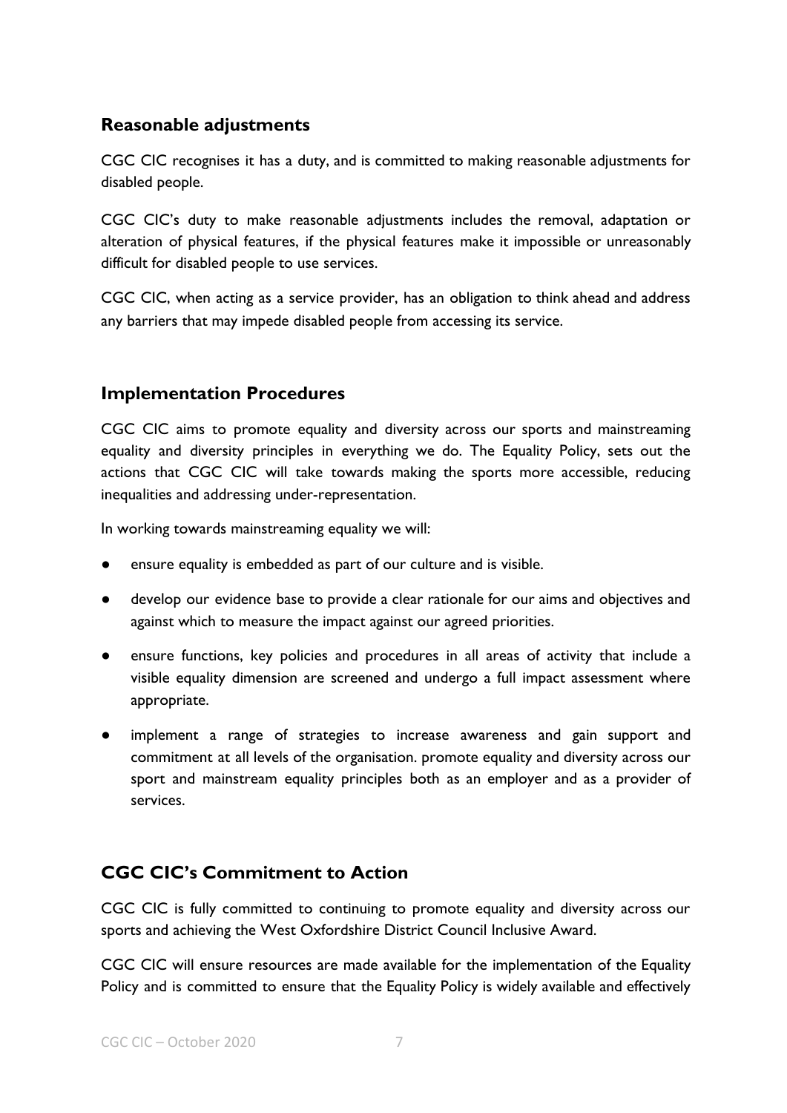#### <span id="page-6-0"></span>**Reasonable adjustments**

CGC CIC recognises it has a duty, and is committed to making reasonable adjustments for disabled people.

CGC CIC's duty to make reasonable adjustments includes the removal, adaptation or alteration of physical features, if the physical features make it impossible or unreasonably difficult for disabled people to use services.

CGC CIC, when acting as a service provider, has an obligation to think ahead and address any barriers that may impede disabled people from accessing its service.

#### <span id="page-6-1"></span>**Implementation Procedures**

CGC CIC aims to promote equality and diversity across our sports and mainstreaming equality and diversity principles in everything we do. The Equality Policy, sets out the actions that CGC CIC will take towards making the sports more accessible, reducing inequalities and addressing under-representation.

In working towards mainstreaming equality we will:

- ensure equality is embedded as part of our culture and is visible.
- develop our evidence base to provide a clear rationale for our aims and objectives and against which to measure the impact against our agreed priorities.
- ensure functions, key policies and procedures in all areas of activity that include a visible equality dimension are screened and undergo a full impact assessment where appropriate.
- implement a range of strategies to increase awareness and gain support and commitment at all levels of the organisation. promote equality and diversity across our sport and mainstream equality principles both as an employer and as a provider of services.

#### <span id="page-6-2"></span>**CGC CIC's Commitment to Action**

CGC CIC is fully committed to continuing to promote equality and diversity across our sports and achieving the West Oxfordshire District Council Inclusive Award.

CGC CIC will ensure resources are made available for the implementation of the Equality Policy and is committed to ensure that the Equality Policy is widely available and effectively